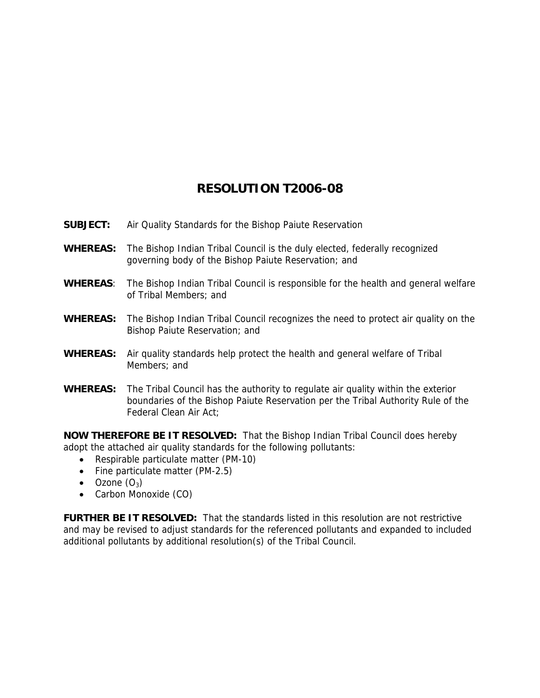## **RESOLUTION T2006-08**

- **SUBJECT:** Air Quality Standards for the Bishop Paiute Reservation
- **WHEREAS:** The Bishop Indian Tribal Council is the duly elected, federally recognized governing body of the Bishop Paiute Reservation; and
- **WHEREAS**: The Bishop Indian Tribal Council is responsible for the health and general welfare of Tribal Members; and
- **WHEREAS:** The Bishop Indian Tribal Council recognizes the need to protect air quality on the Bishop Paiute Reservation; and
- **WHEREAS:** Air quality standards help protect the health and general welfare of Tribal Members; and
- **WHEREAS:** The Tribal Council has the authority to regulate air quality within the exterior boundaries of the Bishop Paiute Reservation per the Tribal Authority Rule of the Federal Clean Air Act;

**NOW THEREFORE BE IT RESOLVED:** That the Bishop Indian Tribal Council does hereby adopt the attached air quality standards for the following pollutants:

- Respirable particulate matter (PM-10)
- Fine particulate matter (PM-2.5)
- $\bullet$  Ozone  $(O_3)$
- Carbon Monoxide (CO)

**FURTHER BE IT RESOLVED:** That the standards listed in this resolution are not restrictive and may be revised to adjust standards for the referenced pollutants and expanded to included additional pollutants by additional resolution(s) of the Tribal Council.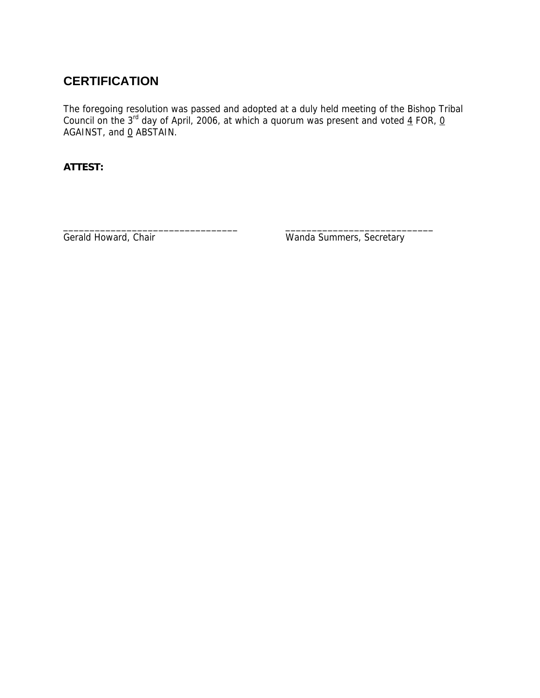# **CERTIFICATION**

The foregoing resolution was passed and adopted at a duly held meeting of the Bishop Tribal Council on the 3<sup>rd</sup> day of April, 2006, at which a quorum was present and voted  $4$  FOR, 0 AGAINST, and <u>0</u> ABSTAIN.

\_\_\_\_\_\_\_\_\_\_\_\_\_\_\_\_\_\_\_\_\_\_\_\_\_\_\_\_\_\_\_\_\_ \_\_\_\_\_\_\_\_\_\_\_\_\_\_\_\_\_\_\_\_\_\_\_\_\_\_\_\_

**ATTEST:** 

Gerald Howard, Chair Wanda Summers, Secretary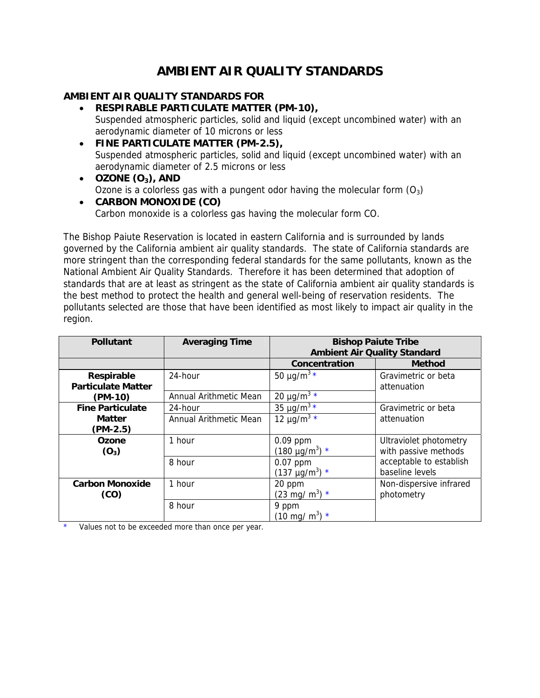## **AMBIENT AIR QUALITY STANDARDS**

## **AMBIENT AIR QUALITY STANDARDS FOR**

- **RESPIRABLE PARTICULATE MATTER (PM-10),**  Suspended atmospheric particles, solid and liquid (except uncombined water) with an aerodynamic diameter of 10 microns or less
- **FINE PARTICULATE MATTER (PM-2.5),**  Suspended atmospheric particles, solid and liquid (except uncombined water) with an aerodynamic diameter of 2.5 microns or less
- $\bullet$  **OZONE**  $(O_3)$ , AND Ozone is a colorless gas with a pungent odor having the molecular form  $(O_3)$
- **CARBON MONOXIDE (CO)**  Carbon monoxide is a colorless gas having the molecular form CO.

The Bishop Paiute Reservation is located in eastern California and is surrounded by lands governed by the California ambient air quality standards. The state of California standards are more stringent than the corresponding federal standards for the same pollutants, known as the National Ambient Air Quality Standards. Therefore it has been determined that adoption of standards that are at least as stringent as the state of California ambient air quality standards is the best method to protect the health and general well-being of reservation residents. The pollutants selected are those that have been identified as most likely to impact air quality in the region.

| <b>Pollutant</b>          | <b>Averaging Time</b>  | <b>Bishop Paiute Tribe</b>               |                         |
|---------------------------|------------------------|------------------------------------------|-------------------------|
|                           |                        | <b>Ambient Air Quality Standard</b>      |                         |
|                           |                        | Concentration                            | <b>Method</b>           |
| Respirable                | 24-hour                | 50 µg/m <sup>3</sup> $\star$             | Gravimetric or beta     |
| <b>Particulate Matter</b> |                        |                                          | attenuation             |
| (PM-10)                   | Annual Arithmetic Mean | 20 µg/m <sup>3</sup> $*$                 |                         |
| <b>Fine Particulate</b>   | 24-hour                | $35 \mu g/m^3$ *                         | Gravimetric or beta     |
| <b>Matter</b>             | Annual Arithmetic Mean | $\frac{12 \text{ µg/m}^3 \cdot \star}{}$ | attenuation             |
| $(PM-2.5)$                |                        |                                          |                         |
| Ozone                     | 1 hour                 | 0.09 ppm                                 | Ultraviolet photometry  |
| $(O_3)$                   |                        | $(180 \text{ µg/m}^3)$ *                 | with passive methods    |
|                           | 8 hour                 | $0.07$ ppm                               | acceptable to establish |
|                           |                        | $(137 \text{ µg/m}^3)$ *                 | baseline levels         |
| <b>Carbon Monoxide</b>    | 1 hour                 | 20 ppm                                   | Non-dispersive infrared |
| (CO)                      |                        | $(23 \text{ mg/m}^3)$ *                  | photometry              |
|                           | 8 hour                 | 9 ppm                                    |                         |
|                           |                        | $(10 \text{ mg/m}^3)$ *                  |                         |

Values not to be exceeded more than once per year.